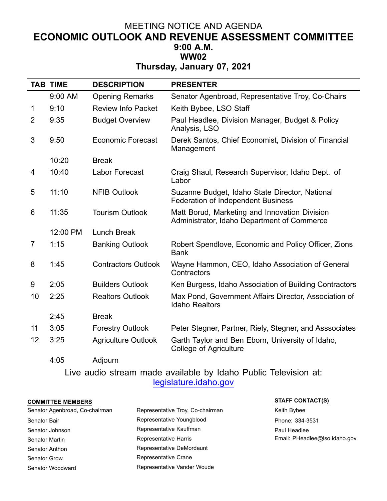## MEETING NOTICE AND AGENDA **ECONOMIC OUTLOOK AND REVENUE ASSESSMENT COMMITTEE 9:00 A.M. WW02**

**Thursday, January 07, 2021**

|    | <b>TAB TIME</b> | <b>DESCRIPTION</b>         | <b>PRESENTER</b>                                                                             |
|----|-----------------|----------------------------|----------------------------------------------------------------------------------------------|
|    | 9:00 AM         | <b>Opening Remarks</b>     | Senator Agenbroad, Representative Troy, Co-Chairs                                            |
| 1  | 9:10            | <b>Review Info Packet</b>  | Keith Bybee, LSO Staff                                                                       |
| 2  | 9:35            | <b>Budget Overview</b>     | Paul Headlee, Division Manager, Budget & Policy<br>Analysis, LSO                             |
| 3  | 9:50            | <b>Economic Forecast</b>   | Derek Santos, Chief Economist, Division of Financial<br>Management                           |
|    | 10:20           | <b>Break</b>               |                                                                                              |
| 4  | 10:40           | Labor Forecast             | Craig Shaul, Research Supervisor, Idaho Dept. of<br>Labor                                    |
| 5  | 11:10           | <b>NFIB Outlook</b>        | Suzanne Budget, Idaho State Director, National<br><b>Federation of Independent Business</b>  |
| 6  | 11:35           | <b>Tourism Outlook</b>     | Matt Borud, Marketing and Innovation Division<br>Administrator, Idaho Department of Commerce |
|    | 12:00 PM        | <b>Lunch Break</b>         |                                                                                              |
| 7  | 1:15            | <b>Banking Outlook</b>     | Robert Spendlove, Economic and Policy Officer, Zions<br><b>Bank</b>                          |
| 8  | 1:45            | <b>Contractors Outlook</b> | Wayne Hammon, CEO, Idaho Association of General<br>Contractors                               |
| 9  | 2:05            | <b>Builders Outlook</b>    | Ken Burgess, Idaho Association of Building Contractors                                       |
| 10 | 2:25            | <b>Realtors Outlook</b>    | Max Pond, Government Affairs Director, Association of<br><b>Idaho Realtors</b>               |
|    | 2:45            | <b>Break</b>               |                                                                                              |
| 11 | 3:05            | <b>Forestry Outlook</b>    | Peter Stegner, Partner, Riely, Stegner, and Asssociates                                      |
| 12 | 3:25            | Agriculture Outlook        | Garth Taylor and Ben Eborn, University of Idaho,<br><b>College of Agriculture</b>            |
|    | 4:05            | Adjourn                    |                                                                                              |

Live audio stream made available by Idaho Public Television at: legislature.idaho.gov

## **COMMITTEE MEMBERS STAFF CONTACT(S)**

| Senator Agenbroad, Co-chairman | Representative Troy, Co-chairman | Keith Bybee                   |
|--------------------------------|----------------------------------|-------------------------------|
| Senator Bair                   | Representative Youngblood        | Phone: 334-3531               |
| Senator Johnson                | Representative Kauffman          | Paul Headlee                  |
| Senator Martin                 | Representative Harris            | Email: PHeadlee@Iso.idaho.gov |
| Senator Anthon                 | Representative DeMordaunt        |                               |
| Senator Grow                   | Representative Crane             |                               |
| Senator Woodward               | Representative Vander Woude      |                               |